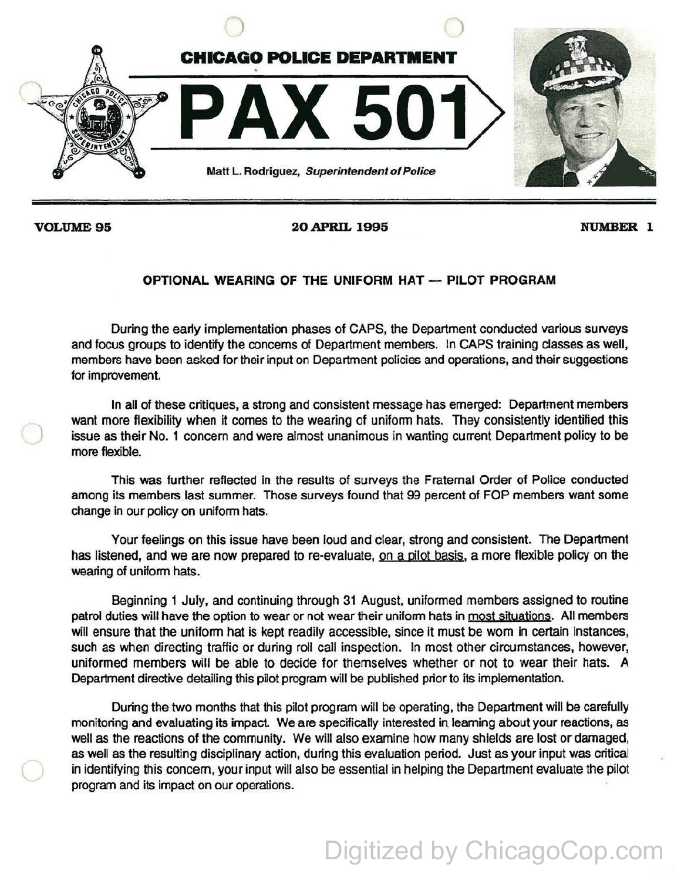

)

**VOLUME95 20 APRIL 1995 NUMBER 1** 

## **OPTIONAL WEARING OF THE UNIFORM HAT - PILOT PROGRAM**

During the early implementation phases of CAPS, the Department conducted various surveys and focus groups to identify the concerns of Department members. In CAPS training dasses as well, members have been asked for their input on Department policies and operations, and their suggestions for improvement.

In all of these critiques, a strong and consistent message has emerged: Department members want more flexibility when it comes to the wearing of uniform hats. They consistently identified this issue as their No. 1 concern and were almost unanimous in wanting current Department policy to be more flexible.

This was further reflected in the results of surveys the Fraternal Order of Police conducted among its members last summer. Those surveys found that 99 percent of FOP members want some change in our policy on uniform hats.

Your feelings on this issue have been loud and clear, strong and consistent. The Department has listened, and we are now prepared to re-evaluate, on a pilot basis, a more flexible policy on the wearing of uniform hats.

Beginning 1 July, and continuing through 31 August, uniformed members assigned to routine patrol duties will have the option to wear or not wear their uniform hats in most situations. All members will ensure that the uniform hat is kept readily accessible, since it must be wom in certain instances, such as when directing traffic or during roll call inspection. In most other circumstances, however, uniformed members will be able to decide for themselves whether or not to wear their hats. A Department directive detailing this pilot program will be published prior to its implementation.

During the two months that this pilot program will be operating, the Department will be carefully monitoring and evaluating its impact. We are specifically interested in learning about your reactions, as well as the reactions of the community. We will also examine how many shields are lost or damaged, as well as the resulting disciplinary action, during this evaluation period. Just as your input was critical in identifying this concern, your input will also be essential in helping the Department evaluate the pilot program and its impact on our operations.